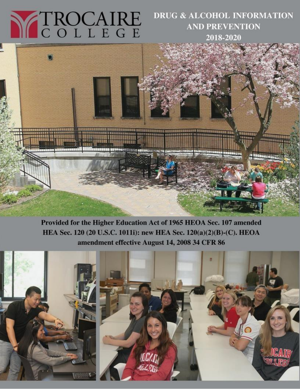# N TROCAIRE

# **DRUG & ALCOHOL INFORMATION AND PREVENTION** 2018-2020



Provided for the Higher Education Act of 1965 HEOA Sec. 107 amended HEA Sec. 120 (20 U.S.C. 1011i): new HEA Sec. 120(a)(2)(B)-(C). HEOA amendment effective August 14, 2008 34 CFR 86

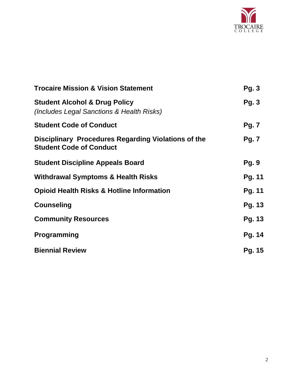

| <b>Trocaire Mission &amp; Vision Statement</b>                                        | Pg.3          |
|---------------------------------------------------------------------------------------|---------------|
| <b>Student Alcohol &amp; Drug Policy</b><br>(Includes Legal Sanctions & Health Risks) | Pg.3          |
| <b>Student Code of Conduct</b>                                                        | <b>Pg. 7</b>  |
| Disciplinary Procedures Regarding Violations of the<br><b>Student Code of Conduct</b> | <b>Pg. 7</b>  |
| <b>Student Discipline Appeals Board</b>                                               | <b>Pg. 9</b>  |
| <b>Withdrawal Symptoms &amp; Health Risks</b>                                         | Pg. 11        |
| <b>Opioid Health Risks &amp; Hotline Information</b>                                  | Pg. 11        |
| <b>Counseling</b>                                                                     | Pg. 13        |
| <b>Community Resources</b>                                                            | Pg. 13        |
| <b>Programming</b>                                                                    | Pg. 14        |
| <b>Biennial Review</b>                                                                | <b>Pg. 15</b> |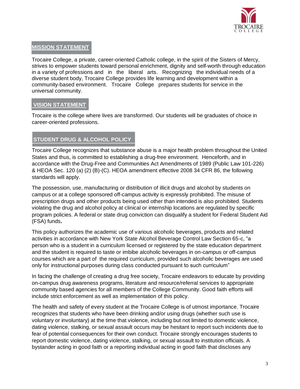

# **MISSION STATEMENT**

Trocaire College, a private, career-oriented Catholic college, in the spirit of the Sisters of Mercy, strives to empower students toward personal enrichment, dignity and self-worth through education in a variety of professions and in the liberal arts. Recognizing the individual needs of a diverse student body, Trocaire College provides life learning and development within a community-based environment. Trocaire College prepares students for service in the universal community.

# **VISION STATEMENT**

Trocaire is the college where lives are transformed. Our students will be graduates of choice in career-oriented professions.

# **STUDENT DRUG & ALCOHOL POLICY**

Trocaire College recognizes that substance abuse is a major health problem throughout the United States and thus, is committed to establishing a drug-free environment. Henceforth, and in accordance with the Drug-Free and Communities Act Amendments of 1989 (Public Law 101-226) & HEOA Sec. 120 (a) (2) (B)-(C). HEOA amendment effective 2008 34 CFR 86, the following standards will apply.

The possession, use, manufacturing or distribution of illicit drugs and alcohol by students on campus or at a college sponsored off-campus activity is expressly prohibited. The misuse of prescription drugs and other products being used other than intended is also prohibited. Students violating the drug and alcohol policy at clinical or internship locations are regulated by specific program policies. A federal or state drug conviction can disqualify a student for Federal Student Aid (FSA) funds**.** 

This policy authorizes the academic use of various alcoholic beverages, products and related activities in accordance with New York State Alcohol Beverage Control Law Section 65-c, "a person who is a student in a curriculum licensed or registered by the state education department and the student is required to taste or imbibe alcoholic beverages in on-campus or off-campus courses which are a part of the required curriculum, provided such alcoholic beverages are used only for instructional purposes during class conducted pursuant to such curriculum"

In facing the challenge of creating a drug free society, Trocaire endeavors to educate by providing on-campus drug awareness programs, literature and resource/referral services to appropriate community based agencies for all members of the College Community. Good faith efforts will include strict enforcement as well as implementation of this policy.

The health and safety of every student at the Trocaire College is of utmost importance. Trocaire recognizes that students who have been drinking and/or using drugs (whether such use is voluntary or involuntary) at the time that violence, including but not limited to domestic violence, dating violence, stalking, or sexual assault occurs may be hesitant to report such incidents due to fear of potential consequences for their own conduct. Trocaire strongly encourages students to report domestic violence, dating violence, stalking, or sexual assault to institution officials. A bystander acting in good faith or a reporting individual acting in good faith that discloses any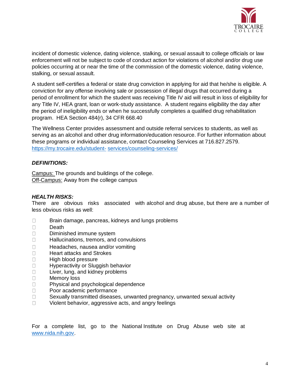

incident of domestic violence, dating violence, stalking, or sexual assault to college officials or law enforcement will not be subject to code of conduct action for violations of alcohol and/or drug use policies occurring at or near the time of the commission of the domestic violence, dating violence, stalking, or sexual assault.

A student self-certifies a federal or state drug conviction in applying for aid that he/she is eligible. A conviction for any offense involving sale or possession of illegal drugs that occurred during a period of enrollment for which the student was receiving Title IV aid will result in loss of eligibility for any Title IV, HEA grant, loan or work-study assistance. A student regains eligibility the day after the period of ineligibility ends or when he successfully completes a qualified drug rehabilitation program. HEA Section 484(r), 34 CFR 668.40

The Wellness Center provides assessment and outside referral services to students, as well as serving as an alcohol and other drug information/education resource. For further information about these programs or individual assistance, contact Counseling Services at 716.827.2579. [https://my.trocaire.edu/student-](https://my.trocaire.edu/student-services/counseling-services/) [services/counseling-services/](https://my.trocaire.edu/student-services/counseling-services/)

# *DEFINITIONS:*

Campus: The grounds and buildings of the college. Off-Campus: Away from the college campus

### *HEALTH RISKS:*

There are obvious risks associated with alcohol and drug abuse, but there are a number of less obvious risks as well:

- $\Box$ Brain damage, pancreas, kidneys and lungs problems
- $\Box$ Death
- $\Box$ Diminished immune system
- $\Box$ Hallucinations, tremors, and convulsions
- $\Box$ Headaches, nausea and/or vomiting
- Heart attacks and Strokes  $\Box$
- $\Box$ High blood pressure
- $\Box$ Hyperactivity or Sluggish behavior
- Liver, lung, and kidney problems  $\Box$
- $\Box$ Memory loss
- Physical and psychological dependence  $\Box$
- $\Box$ Poor academic performance
- $\Box$ Sexually transmitted diseases, unwanted pregnancy, unwanted sexual activity
- $\Box$ Violent behavior, aggressive acts, and angry feelings

For a complete list, go to the National Institute on Drug Abuse web site at [www.nida.nih.gov.](http://www.nida.nih.gov/)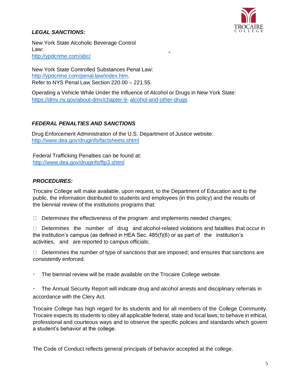

# *LEGAL SANCTIONS:*

New York State Alcoholic Beverage Control Law: <http://ypdcrime.com/abc/>

New York State Controlled Substances Penal Law: [http://ypdcrime.com/penal.law/index.htm.](http://ypdcrime.com/penal.law/index.htm) Refer to NYS Penal Law Section 220.00 – 221.55.

Operating a Vehicle While Under the Influence of Alcohol or Drugs in New York State: [https://dmv.ny.gov/about-dmv/chapter-9-](https://dmv.ny.gov/about-dmv/chapter-9-alcohol-and-other-drugs) [alcohol-and-other-drugs](https://dmv.ny.gov/about-dmv/chapter-9-alcohol-and-other-drugs)

# *FEDERAL PENALTIES AND SANCTIONS*

Drug Enforcement Administration of the U.S. Department of Justice website: [http://www.dea.gov/druginfo/factsheets.shtm](http://www.dea.gov/druginfo/factsheets.shtml)l

Federal Trafficking Penalties can be found at: <http://www.dea.gov/druginfo/ftp3.shtml>

# *PROCEDURES:*

Trocaire College will make available, upon request, to the Department of Education and to the public, the information distributed to students and employees (in this policy) and the results of the biennial review of the institutions programs that:

 $\Box$  Determines the effectiveness of the program and implements needed changes;

 $\Box$  Determines the number of drug and alcohol-related violations and fatalities that occur in the institution's campus (as defined in HEA Sec. 485(f)(6) or as part of the institution's activities, and are reported to campus officials;

 $\Box$  Determines the number of type of sanctions that are imposed; and ensures that sanctions are consistently enforced.

 $\bullet$ The biennial review will be made available on the Trocaire College website.

 $\bullet$ The Annual Security Report will indicate drug and alcohol arrests and disciplinary referrals in accordance with the Clery Act.

Trocaire College has high regard for its students and for all members of the College Community. Trocaire expects its students to obey all applicable federal, state and local laws; to behave in ethical, professional and courteous ways and to observe the specific policies and standards which govern a student's behavior at the college.

The Code of Conduct reflects general principals of behavior accepted at the college.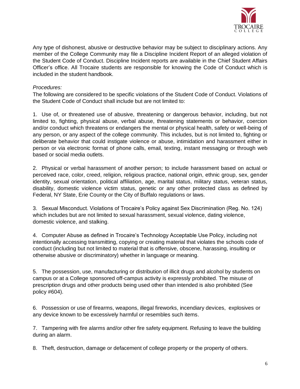

Any type of dishonest, abusive or destructive behavior may be subject to disciplinary actions. Any member of the College Community may file a Discipline Incident Report of an alleged violation of the Student Code of Conduct. Discipline Incident reports are available in the Chief Student Affairs Officer's office. All Trocaire students are responsible for knowing the Code of Conduct which is included in the student handbook.

### *Procedures:*

The following are considered to be specific violations of the Student Code of Conduct. Violations of the Student Code of Conduct shall include but are not limited to:

1. Use of, or threatened use of abusive, threatening or dangerous behavior, including, but not limited to, fighting, physical abuse, verbal abuse, threatening statements or behavior, coercion and/or conduct which threatens or endangers the mental or physical health, safety or well-being of any person, or any aspect of the college community. This includes, but is not limited to, fighting or deliberate behavior that could instigate violence or abuse, intimidation and harassment either in person or via electronic format of phone calls, email, texting, instant messaging or through web based or social media outlets.

2. Physical or verbal harassment of another person; to include harassment based on actual or perceived race, color, creed, religion, religious practice, national origin, ethnic group, sex, gender identity, sexual orientation, political affiliation, age, marital status, military status, veteran status, disability, domestic violence victim status, genetic or any other protected class as defined by Federal, NY State, Erie County or the City of Buffalo regulations or laws.

3. Sexual Misconduct. Violations of Trocaire's Policy against Sex Discrimination (Reg. No. 124) which includes but are not limited to sexual harassment, sexual violence, dating violence, domestic violence, and stalking.

4. Computer Abuse as defined in Trocaire's Technology Acceptable Use Policy, including not intentionally accessing transmitting, copying or creating material that violates the schools code of conduct (including but not limited to material that is offensive, obscene, harassing, insulting or otherwise abusive or discriminatory) whether in language or meaning.

5. The possession, use, manufacturing or distribution of illicit drugs and alcohol by students on campus or at a College sponsored off-campus activity is expressly prohibited. The misuse of prescription drugs and other products being used other than intended is also prohibited (See policy #604).

6. Possession or use of firearms, weapons, illegal fireworks, incendiary devices, explosives or any device known to be excessively harmful or resembles such items.

7. Tampering with fire alarms and/or other fire safety equipment. Refusing to leave the building during an alarm.

8. Theft, destruction, damage or defacement of college property or the property of others.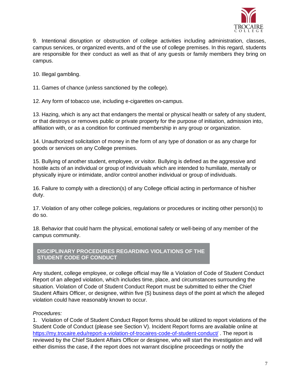

9. Intentional disruption or obstruction of college activities including administration, classes, campus services, or organized events, and of the use of college premises. In this regard, students are responsible for their conduct as well as that of any guests or family members they bring on campus.

10. Illegal gambling.

11. Games of chance (unless sanctioned by the college).

12. Any form of tobacco use, including e-cigarettes on-campus.

13. Hazing, which is any act that endangers the mental or physical health or safety of any student, or that destroys or removes public or private property for the purpose of initiation, admission into, affiliation with, or as a condition for continued membership in any group or organization.

14. Unauthorized solicitation of money in the form of any type of donation or as any charge for goods or services on any College premises.

15. Bullying of another student, employee, or visitor. Bullying is defined as the aggressive and hostile acts of an individual or group of individuals which are intended to humiliate, mentally or physically injure or intimidate, and/or control another individual or group of individuals.

16. Failure to comply with a direction(s) of any College official acting in performance of his/her duty.

17. Violation of any other college policies, regulations or procedures or inciting other person(s) to do so.

18. Behavior that could harm the physical, emotional safety or well-being of any member of the campus community.

**DISCIPLINARY PROCEDURES REGARDING VIOLATIONS OF THE STUDENT CODE OF CONDUCT** 

Any student, college employee, or college official may file a Violation of Code of Student Conduct Report of an alleged violation, which includes time, place, and circumstances surrounding the situation. Violation of Code of Student Conduct Report must be submitted to either the Chief Student Affairs Officer, or designee, within five (5) business days of the point at which the alleged violation could have reasonably known to occur.

### *Procedures:*

1. Violation of Code of Student Conduct Report forms should be utilized to report violations of the Student Code of Conduct (please see Section V). Incident Report forms are available online at <https://my.trocaire.edu/report-a-violation-of-trocaires-code-of-student-conduct/> . The report is reviewed by the Chief Student Affairs Officer or designee, who will start the investigation and will either dismiss the case, if the report does not warrant discipline proceedings or notify the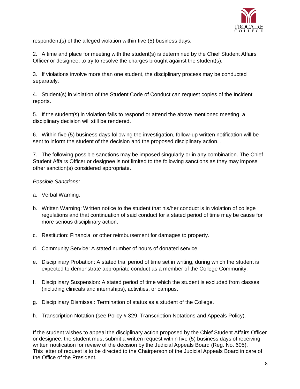

respondent(s) of the alleged violation within five (5) business days.

2. A time and place for meeting with the student(s) is determined by the Chief Student Affairs Officer or designee, to try to resolve the charges brought against the student(s).

3. If violations involve more than one student, the disciplinary process may be conducted separately.

4. Student(s) in violation of the Student Code of Conduct can request copies of the Incident reports.

5. If the student(s) in violation fails to respond or attend the above mentioned meeting, a disciplinary decision will still be rendered.

6. Within five (5) business days following the investigation, follow-up written notification will be sent to inform the student of the decision and the proposed disciplinary action. .

7. The following possible sanctions may be imposed singularly or in any combination. The Chief Student Affairs Officer or designee is not limited to the following sanctions as they may impose other sanction(s) considered appropriate.

# *Possible Sanctions:*

- a. Verbal Warning.
- b. Written Warning: Written notice to the student that his/her conduct is in violation of college regulations and that continuation of said conduct for a stated period of time may be cause for more serious disciplinary action.
- c. Restitution: Financial or other reimbursement for damages to property.
- d. Community Service: A stated number of hours of donated service.
- e. Disciplinary Probation: A stated trial period of time set in writing, during which the student is expected to demonstrate appropriate conduct as a member of the College Community.
- f. Disciplinary Suspension: A stated period of time which the student is excluded from classes (including clinicals and internships), activities, or campus.
- g. Disciplinary Dismissal: Termination of status as a student of the College.
- h. Transcription Notation (see Policy # 329, Transcription Notations and Appeals Policy).

If the student wishes to appeal the disciplinary action proposed by the Chief Student Affairs Officer or designee, the student must submit a written request within five (5) business days of receiving written notification for review of the decision by the Judicial Appeals Board (Reg. No. 605). This letter of request is to be directed to the Chairperson of the Judicial Appeals Board in care of the Office of the President.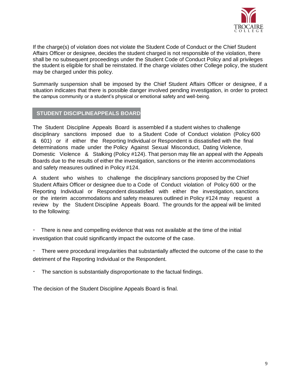

If the charge(s) of violation does not violate the Student Code of Conduct or the Chief Student Affairs Officer or designee, decides the student charged is not responsible of the violation, there shall be no subsequent proceedings under the Student Code of Conduct Policy and all privileges the student is eligible for shall be reinstated. If the charge violates other College policy, the student may be charged under this policy.

Summarily suspension shall be imposed by the Chief Student Affairs Officer or designee, if a situation indicates that there is possible danger involved pending investigation, in order to protect the campus community or a student's physical or emotional safety and well-being.

### **STUDENT DISCIPLINEAPPEALS BOARD**

The Student Discipline Appeals Board is assembled if a student wishes to challenge disciplinary sanctions imposed due to a Student Code of Conduct violation (Policy 600 & 601) or if either the Reporting Individual or Respondent is dissatisfied with the final determinations made under the Policy Against Sexual Misconduct, Dating Violence, Domestic Violence & Stalking (Policy #124). That person may file an appeal with the Appeals Boards due to the results of either the investigation, sanctions or the interim accommodations and safety measures outlined in Policy #124.

A student who wishes to challenge the disciplinary sanctions proposed by the Chief Student Affairs Officer or designee due to a Code of Conduct violation of Policy 600 or the Reporting Individual or Respondent dissatisfied with either the investigation, sanctions or the interim accommodations and safety measures outlined in Policy #124 may request a review by the Student Discipline Appeals Board. The grounds for the appeal will be limited to the following:

There is new and compelling evidence that was not available at the time of the initial investigation that could significantly impact the outcome of the case.

There were procedural irregularities that substantially affected the outcome of the case to the detriment of the Reporting Individual or the Respondent.

The sanction is substantially disproportionate to the factual findings.

The decision of the Student Discipline Appeals Board is final.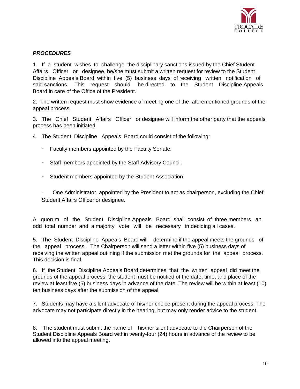

# *PROCEDURES*

1. If a student wishes to challenge the disciplinary sanctions issued by the Chief Student Affairs Officer or designee, he/she must submit a written request for review to the Student Discipline Appeals Board within five (5) business days of receiving written notification of said sanctions. This request should be directed to the Student Discipline Appeals Board in care of the Office of the President.

2. The written request must show evidence of meeting one of the aforementioned grounds of the appeal process.

3. The Chief Student Affairs Officer or designee will inform the other party that the appeals process has been initiated.

4. The Student Discipline Appeals Board could consist of the following:

- $\bullet$  . Faculty members appointed by the Faculty Senate.
- Staff members appointed by the Staff Advisory Council.
- Student members appointed by the Student Association.

One Administrator, appointed by the President to act as chairperson, excluding the Chief Student Affairs Officer or designee.

A quorum of the Student Discipline Appeals Board shall consist of three members, an odd total number and a majority vote will be necessary in deciding all cases.

5. The Student Discipline Appeals Board will determine if the appeal meets the grounds of the appeal process. The Chairperson will send a letter within five (5) business days of receiving the written appeal outlining if the submission met the grounds for the appeal process. This decision is final.

6. If the Student Discipline Appeals Board determines that the written appeal did meet the grounds of the appeal process, the student must be notified of the date, time, and place of the review at least five (5) business days in advance of the date. The review will be within at least (10) ten business days after the submission of the appeal.

7. Students may have a silent advocate of his/her choice present during the appeal process. The advocate may not participate directly in the hearing, but may only render advice to the student.

8. The student must submit the name of his/her silent advocate to the Chairperson of the Student Discipline Appeals Board within twenty-four (24) hours in advance of the review to be allowed into the appeal meeting.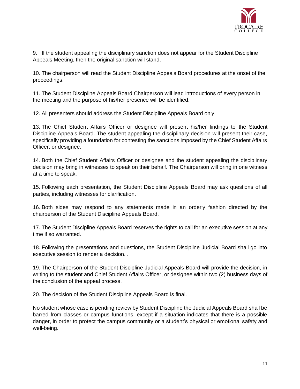

9. If the student appealing the disciplinary sanction does not appear for the Student Discipline Appeals Meeting, then the original sanction will stand.

10. The chairperson will read the Student Discipline Appeals Board procedures at the onset of the proceedings.

11. The Student Discipline Appeals Board Chairperson will lead introductions of every person in the meeting and the purpose of his/her presence will be identified.

12. All presenters should address the Student Discipline Appeals Board only.

13. The Chief Student Affairs Officer or designee will present his/her findings to the Student Discipline Appeals Board. The student appealing the disciplinary decision will present their case, specifically providing a foundation for contesting the sanctions imposed by the Chief Student Affairs Officer, or designee.

14. Both the Chief Student Affairs Officer or designee and the student appealing the disciplinary decision may bring in witnesses to speak on their behalf. The Chairperson will bring in one witness at a time to speak.

15. Following each presentation, the Student Discipline Appeals Board may ask questions of all parties, including witnesses for clarification.

16. Both sides may respond to any statements made in an orderly fashion directed by the chairperson of the Student Discipline Appeals Board.

17. The Student Discipline Appeals Board reserves the rights to call for an executive session at any time if so warranted.

18. Following the presentations and questions, the Student Discipline Judicial Board shall go into executive session to render a decision. .

19. The Chairperson of the Student Discipline Judicial Appeals Board will provide the decision, in writing to the student and Chief Student Affairs Officer, or designee within two (2) business days of the conclusion of the appeal process.

20. The decision of the Student Discipline Appeals Board is final.

No student whose case is pending review by Student Discipline the Judicial Appeals Board shall be barred from classes or campus functions, except if a situation indicates that there is a possible danger, in order to protect the campus community or a student's physical or emotional safety and well-being.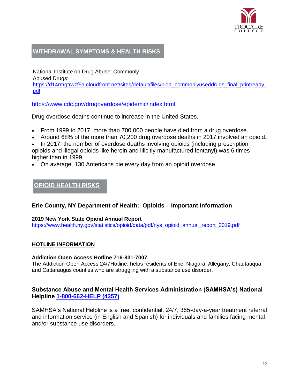

# **WITHDRAWAL SYMPTOMS & HEALTH RISKS**

National Institute on Drug Abuse: Commonly Abused Drugs:

https://d14rmgtrwzf5a.cloudfront.net/sites/default/files/nida\_commonlyuseddrugs\_final\_printready. pdf

<https://www.cdc.gov/drugoverdose/epidemic/index.html>

Drug overdose deaths continue to increase in the United States.

- From 1999 to 2017, more than 700,000 people have died from a drug overdose.
- Around 68% of the more than 70,200 drug overdose deaths in 2017 involved an opioid.

 In 2017, the number of overdose deaths involving opioids (including prescription opioids and illegal opioids like heroin and illicitly manufactured fentanyl) was 6 times higher than in 1999.

On average, 130 Americans die every day from an opioid overdose

# **OPIOID HEALTH RISKS**

# **Erie County, NY Department of Health: Opioids – Important Information**

### **2019 New York State Opioid Annual Report**

[https://www.health.ny.gov/statistics/opioid/data/pdf/nys\\_opioid\\_annual\\_report\\_2019.pdf](https://www.health.ny.gov/statistics/opioid/data/pdf/nys_opioid_annual_report_2019.pdf)

### **HOTLINE INFORMATION**

### **Addiction Open Access Hotline 716-831-7007**

The Addiction Open Access 24/7Hotline, helps residents of Erie, Niagara, Allegany, Chautauqua and Cattaraugus counties who are struggling with a substance use disorder.

# **Substance Abuse and Mental Health Services Administration (SAMHSA's) National Helpline [1-800-662-HELP \(4357\)](tel:18006624357)**

SAMHSA's National Helpline is a free, confidential, 24/7, 365-day-a-year treatment referral and information service (in English and Spanish) for individuals and families facing mental and/or substance use disorders.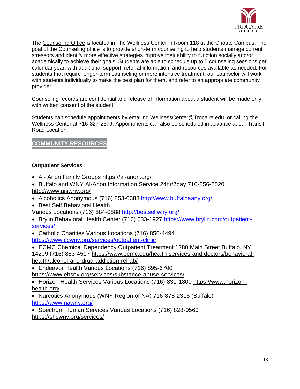

The [Counseling Office](https://my.trocaire.edu/student-services/counseling-services/) is located in The Wellness Center in Room 118 at the Choate Campus. The goal of the Counseling office is to provide short-term counseling to help students manage current stressors and identify more effective strategies improve their ability to function socially and/or academically to achieve their goals. Students are able to schedule up to 5 counseling sessions per calendar year, with additional support, referral information, and resources available as needed. For students that require longer-term counseling or more intensive treatment, our counselor will work with students individually to make the best plan for them, and refer to an appropriate community provider.

Counseling records are confidential and release of information about a student will be made only with written consent of the student.

Students can schedule appointments by emailing WellnessCenter@Trocaire.edu, or calling the Wellness Center at 716-827-2579. Appointments can also be scheduled in advance at our Transit Road Location.

# **COMMUNITY RESOURCE**

### **Outpatient Services**

- Al- Anon Family Groups<https://al-anon.org/>
- Buffalo and WNY Al-Anon Information Service 24hr/7day 716-856-2520 <http://www.aiswny.org/>
- Alcoholics Anonymous (716) 853-0388<http://www.buffaloaany.org/>
- Best Self Behavioral Health

Various Locations (716) 884-0888<http://bestselfwny.org/>

 Brylin Behavioral Health Center (716) 633-1927 [https://www.brylin.com/outpatient](https://www.brylin.com/outpatient-services/)[services/](https://www.brylin.com/outpatient-services/) 

 Catholic Charities Various Locations (716) 856-4494 <https://www.ccwny.org/services/outpatient-clinic>

 ECMC Chemical Dependency Outpatient Treatment 1280 Main Street Buffalo, NY 14209 (716) 883-4517 [https://www.ecmc.edu/health-services-and-doctors/behavioral](https://www.ecmc.edu/health-services-and-doctors/behavioral-health/alcohol-and-drug-addiction-rehab/)[health/alcohol-and-drug-addiction-rehab/](https://www.ecmc.edu/health-services-and-doctors/behavioral-health/alcohol-and-drug-addiction-rehab/)

 Endeavor Health Various Locations (716) 895-6700 <https://www.ehsny.org/services/substance-abuse-services/>

 Horizon Health Services Various Locations (716) 831-1800 [https://www.horizon](https://www.horizon-health.org/)[health.org/](https://www.horizon-health.org/)

 Narcotics Anonymous (WNY Region of NA) 716-878-2316 (Buffalo) <https://www.nawny.org/>

• Spectrum Human Services Various Locations (716) 828-0560 <https://shswny.org/services/>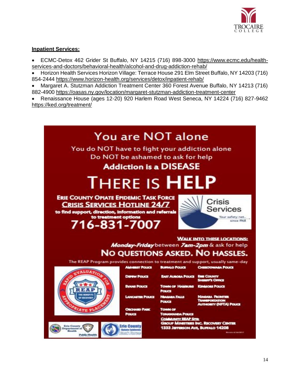

### **Inpatient Services:**

 ECMC-Detox 462 Grider St Buffalo, NY 14215 (716) 898-3000 [https://www.ecmc.edu/health](https://www.ecmc.edu/health-services-and-doctors/behavioral-health/alcohol-and-drug-addiction-rehab/)[services-and-doctors/behavioral-health/alcohol-and-drug-addiction-rehab/](https://www.ecmc.edu/health-services-and-doctors/behavioral-health/alcohol-and-drug-addiction-rehab/)

 Horizon Health Services Horizon Village: Terrace House 291 Elm Street Buffalo, NY 14203 (716) 854-2444<https://www.horizon-health.org/services/detox/inpatient-rehab/>

 Margaret A. Stutzman Addiction Treatment Center 360 Forest Avenue Buffalo, NY 14213 (716) 882-4900<https://oasas.ny.gov/location/margaret-stutzman-addiction-treatment-center>

 Renaissance House (ages 12-20) 920 Harlem Road West Seneca, NY 14224 (716) 827-9462 <https://ked.org/treatment/>